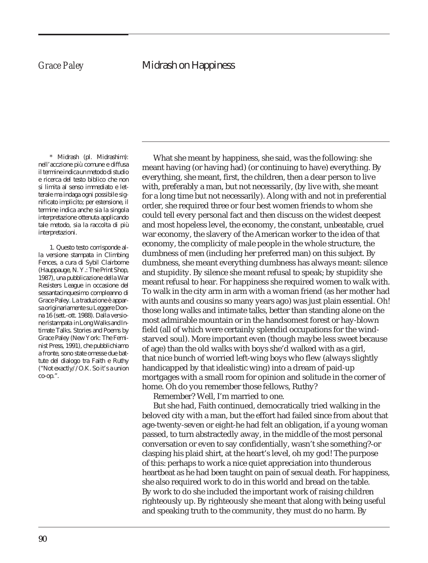## **Midrash on Happiness**

\* Midrash (pl. Midrashim): nell'acczione più comune e diffusa il termine indica un metodo di studio e ricerca del testo biblico che non si limita al senso immediato e letterale ma indaga ogni possibile significato implicito; per estensione, il termine indica anche sia la singola interpretazione ottenuta applicando tale metodo, sia la raccolta di più interpretazioni.

1. Questo testo corrisponde alla versione stampata in Climbing Fences, a cura di Sybil Clairborne (Hauppauge, N. Y.: The Print Shop, 1987), una pubblicazione della War Resisters League in occasione del sessantacinquesimo compleanno di Grace Paley. La traduzione è apparsa originariamente su Leggere Donna 16 (sett.-ott. 1988). Dalla versione ristampata in Long Walks and Intimate Talks. Stories and Poems by Grace Paley (New York: The Feminist Press, 1991), che pubblichiamo a fronte, sono state omesse due battute del dialogo tra Faith e Ruthy ("Not exactly/ / O.K. So it's a union co-op.".

What she meant by happiness, she said, was the following: she meant having (or having had) (or continuing to have) everything. By everything, she meant, first, the children, then a dear person to live with, preferably a man, but not necessarily, (by live with, she meant for a long time but not necessarily). Along with and not in preferential order, she required three or four best women friends to whom she could tell every personal fact and then discuss on the widest deepest and most hopeless level, the economy, the constant, unbeatable, cruel war economy, the slavery of the American worker to the idea of that economy, the complicity of male people in the whole structure, the dumbness of men (including her preferred man) on this subject. By dumbness, she meant everything dumbness has always meant: silence and stupidity. By silence she meant refusal to speak; by stupidity she meant refusal to hear. For happiness she required women to walk with. To walk in the city arm in arm with a woman friend (as her mother had with aunts and cousins so many years ago) was just plain essential. Oh! those long walks and intimate talks, better than standing alone on the most admirable mountain or in the handsomest forest or hay-blown field (all of which were certainly splendid occupations for the windstarved soul). More important even (though maybe less sweet because of age) than the old walks with boys she'd walked with as a girl, that nice bunch of worried left-wing boys who flew (always slightly handicapped by that idealistic wing) into a dream of paid-up mortgages with a small room for opinion and solitude in the corner of home. Oh do you remember those fellows, Ruthy?

Remember? Well, I'm married to one.

But she had, Faith continued, democratically tried walking in the beloved city with a man, but the effort had failed since from about that age-twenty-seven or eight-he had felt an obligation, if a young woman passed, to turn abstractedly away, in the middle of the most personal conversation or even to say confidentially, wasn't she something?-or clasping his plaid shirt, at the heart's level, oh my god! The purpose of this: perhaps to work a nice quiet appreciation into thunderous heartbeat as he had been taught on pain of sexual death. For happiness, she also required work to do in this world and bread on the table. By work to do she included the important work of raising children righteously up. By righteously she meant that along with being useful and speaking truth to the community, they must do no harm. By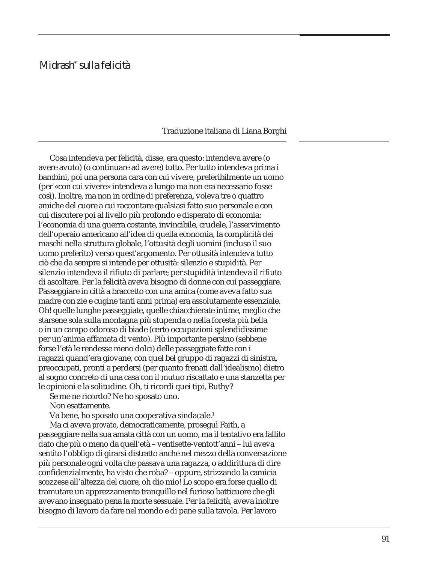## **Midrash\* sulla felicità**

Traduzione italiana di Liana Borghi

Cosa intendeva per felicità, disse, era questo: intendeva avere (o avere avuto) (o continuare ad avere) tutto. Per tutto intendeva prima i bambini, poi una persona cara con cui vivere, preferibilmente un uomo (per «con cui vivere» intendeva a lungo ma non era necessario fosse così). Inoltre, ma non in ordine di preferenza, voleva tre o quattro amiche del cuore a cui raccontare qualsiasi fatto suo personale e con cui discutere poi al livello più profondo e disperato di economia: l'economia di una guerra costante, invincibile, crudele, l'asservimento dell'operaio americano all'idea di quella economia, la complicità dei maschi nella struttura globale, l'ottusità degli uomini (incluso il suo uomo preferito) verso quest'argomento. Per ottusità intendeva tutto ciò che da sempre si intende per ottusità: silenzio e stupidità. Per silenzio intendeva il rifiuto di parlare; per stupidità intendeva il rifiuto di ascoltare. Per la felicità aveva bisogno di donne con cui passeggiare. Passeggiare in città a braccetto con una amica (come aveva fatto sua madre con zie e cugine tanti anni prima) era assolutamente essenziale. Oh! quelle lunghe passeggiate, quelle chiacchierate intime, meglio che starsene sola sulla montagna più stupenda o nella foresta più bella o in un campo odoroso di biade (certo occupazioni splendidissime per un'anima affamata di vento). Più importante persino (sebbene forse l'età le rendesse meno dolci) delle passeggiate fatte con i ragazzi quand'era giovane, con quel bel gruppo di ragazzi di sinistra, preoccupati, pronti a perdersi (per quanto frenati dall'idealismo) dietro al sogno concreto di una casa con il mutuo riscattato e una stanzetta per le opinioni e la solitudine. Oh, ti ricordi quei tipi, Ruthy?

Se me ne ricordo? Ne ho sposato uno.

Non esattamente.

Va bene, ho sposato una cooperativa sindacale.<sup>1</sup>

Ma ci aveva *provato*, democraticamente, proseguì Faith, a passeggiare nella sua amata città con un uomo, ma il tentativo era fallito dato che più o meno da quell'età – ventisette-ventott'anni – lui aveva sentito l'obbligo di girarsi distratto anche nel mezzo della conversazione più personale ogni volta che passava una ragazza, o addirittura di dire confidenzialmente, ha visto che roba? – oppure, strizzando la camicia scozzese all'altezza del cuore, oh dio mio! Lo scopo era forse quello di tramutare un apprezzamento tranquillo nel furioso batticuore che gli avevano insegnato pena la morte sessuale. Per la felicità, aveva inoltre bisogno di lavoro da fare nel mondo e di pane sulla tavola. Per lavoro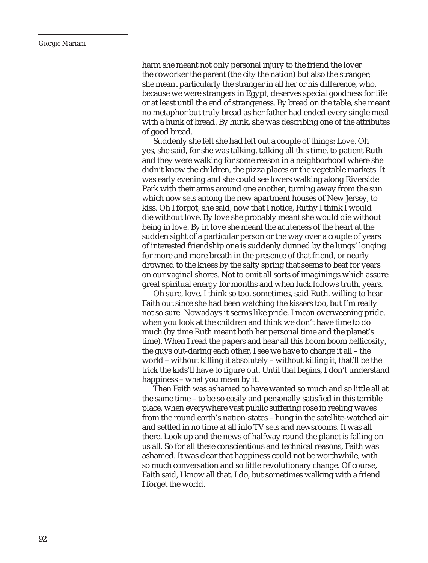harm she meant not only personal injury to the friend the lover the coworker the parent (the city the nation) but also the stranger; she meant particularly the stranger in all her or his difference, who, because we were strangers in Egypt, deserves special goodness for life or at least until the end of strangeness. By bread on the table, she meant no metaphor but truly bread as her father had ended every single meal with a hunk of bread. By hunk, she was describing one of the attributes of good bread.

Suddenly she felt she had left out a couple of things: Love. Oh yes, she said, for she was talking, talking all this time, to patient Ruth and they were walking for some reason in a neighborhood where she didn't know the children, the pizza places or the vegetable markets. It was early evening and she could see lovers walking along Riverside Park with their arms around one another, turning away from the sun which now sets among the new apartment houses of New Jersey, to kiss. Oh I forgot, she said, now that I notice, Ruthy I think I would die without love. By love she probably meant she would die without being in love. By in love she meant the acuteness of the heart at the sudden sight of a particular person or the way over a couple of years of interested friendship one is suddenly dunned by the lungs' longing for more and more breath in the presence of that friend, or nearly drowned to the knees by the salty spring that seems to beat for years on our vaginal shores. Not to omit all sorts of imaginings which assure great spiritual energy for months and when luck follows truth, years.

Oh sure, love. I think so too, sometimes, said Ruth, willing to hear Faith out since she had been watching the kissers too, but I'm really not so sure. Nowadays it seems like pride, I mean overweening pride, when you look at the children and think we don't have time to do much (by time Ruth meant both her personal time and the planet's time). When I read the papers and hear all this boom boom bellicosity, the guys out-daring each other, I see we have to change it all – the world – without killing it absolutely – without killing it, that'll be the trick the kids'll have to figure out. Until that begins, I don't understand happiness – what you mean by it.

Then Faith was ashamed to have wanted so much and so little all at the same time – to be so easily and personally satisfied in this terrible place, when everywhere vast public suffering rose in reeling waves from the round earth's nation-states – hung in the satellite-watched air and settled in no time at all inlo TV sets and newsrooms. It was all there. Look up and the news of halfway round the planet is falling on us all. So for all these conscientious and technical reasons, Faith was ashamed. It was clear that happiness could not be worthwhile, with so much conversation and so little revolutionary change. Of course, Faith said, I know all that. I do, but sometimes walking with a friend I forget the world.